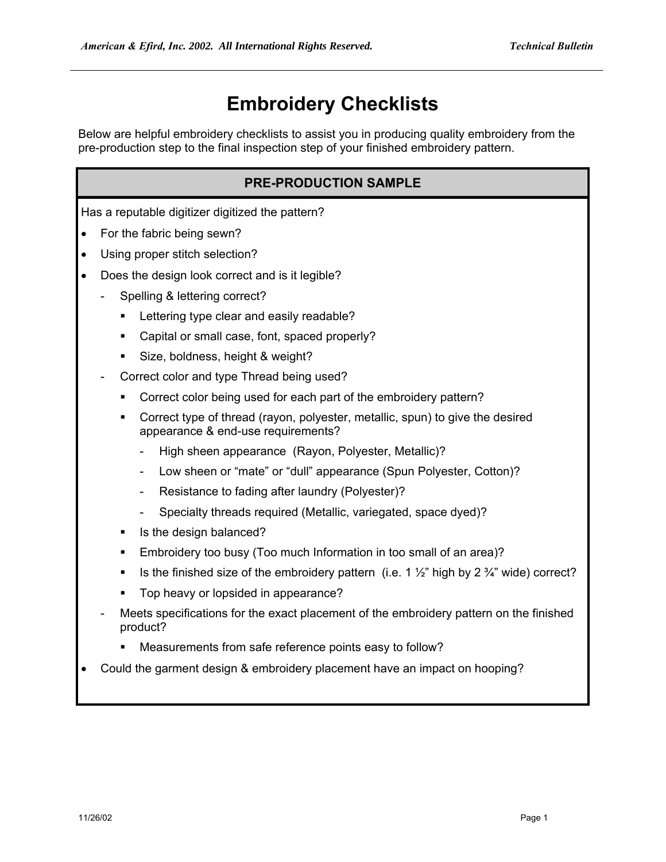# **Embroidery Checklists**

Below are helpful embroidery checklists to assist you in producing quality embroidery from the pre-production step to the final inspection step of your finished embroidery pattern.

# **PRE-PRODUCTION SAMPLE** Has a reputable digitizer digitized the pattern? • For the fabric being sewn? Using proper stitch selection? • Does the design look correct and is it legible? Spelling & lettering correct? **EXECTERE** Lettering type clear and easily readable? Capital or small case, font, spaced properly? Size, boldness, height & weight? Correct color and type Thread being used? **Correct color being used for each part of the embroidery pattern?**  Correct type of thread (rayon, polyester, metallic, spun) to give the desired appearance & end-use requirements? - High sheen appearance (Rayon, Polyester, Metallic)? - Low sheen or "mate" or "dull" appearance (Spun Polyester, Cotton)? - Resistance to fading after laundry (Polyester)? - Specialty threads required (Metallic, variegated, space dyed)? ■ Is the design balanced? **Embroidery too busy (Too much Information in too small of an area)?** Is the finished size of the embroidery pattern (i.e. 1  $\frac{1}{2}$ " high by 2  $\frac{3}{4}$ " wide) correct? **Top heavy or lopsided in appearance?** Meets specifications for the exact placement of the embroidery pattern on the finished product?

- Measurements from safe reference points easy to follow?
- Could the garment design & embroidery placement have an impact on hooping?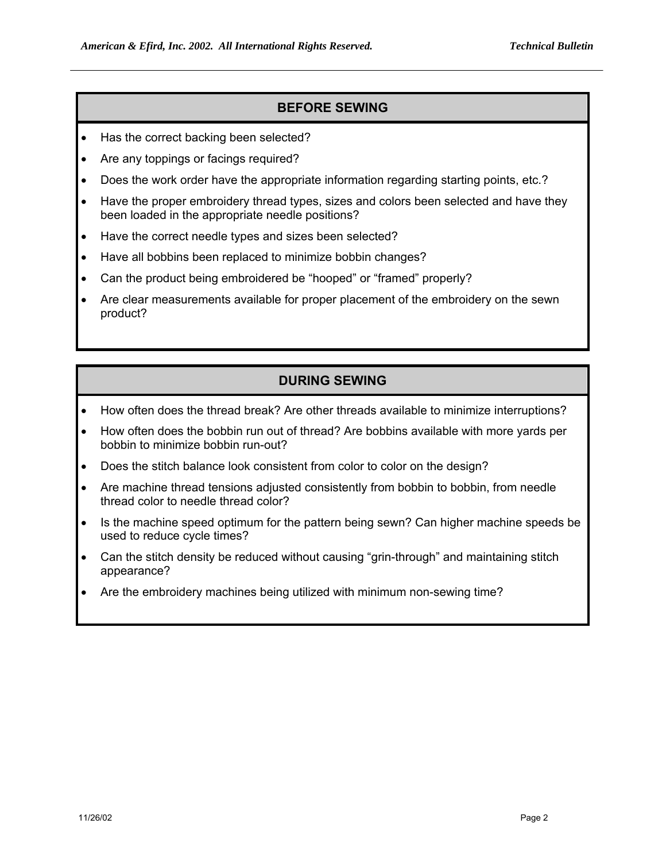#### **BEFORE SEWING**

- Has the correct backing been selected?
- Are any toppings or facings required?
- Does the work order have the appropriate information regarding starting points, etc.?
- Have the proper embroidery thread types, sizes and colors been selected and have they been loaded in the appropriate needle positions?
- Have the correct needle types and sizes been selected?
- Have all bobbins been replaced to minimize bobbin changes?
- Can the product being embroidered be "hooped" or "framed" properly?
- Are clear measurements available for proper placement of the embroidery on the sewn product?

## **DURING SEWING**

- How often does the thread break? Are other threads available to minimize interruptions?
- How often does the bobbin run out of thread? Are bobbins available with more yards per bobbin to minimize bobbin run-out?
- Does the stitch balance look consistent from color to color on the design?
- Are machine thread tensions adjusted consistently from bobbin to bobbin, from needle thread color to needle thread color?
- Is the machine speed optimum for the pattern being sewn? Can higher machine speeds be used to reduce cycle times?
- Can the stitch density be reduced without causing "grin-through" and maintaining stitch appearance?
- Are the embroidery machines being utilized with minimum non-sewing time?